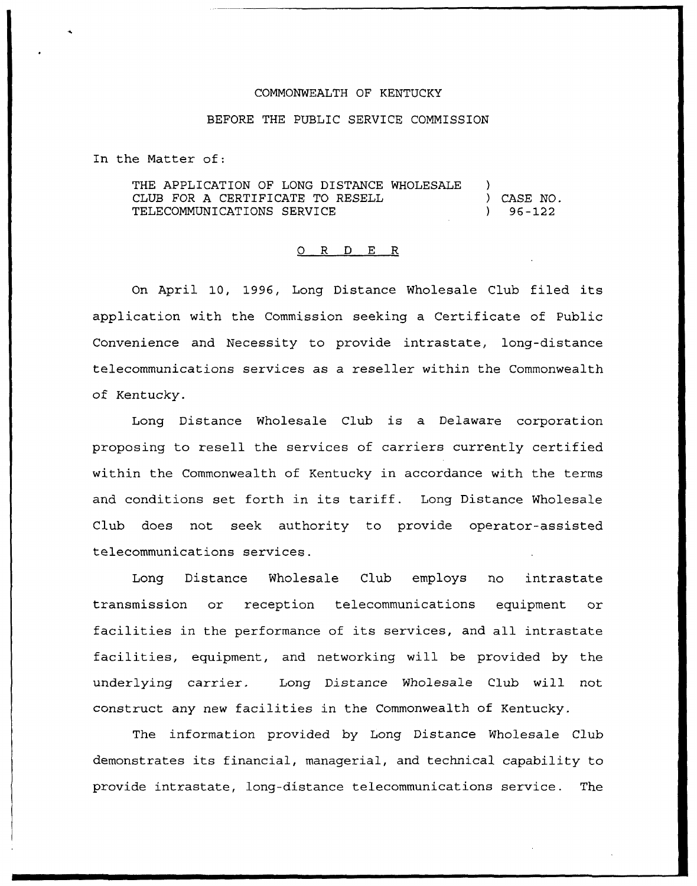## COMMONWEALTH OF KENTUCKY

## BEFORE THE PUBLIC SERVICE COMMISSION

In the Matter of:

THE APPLICATION OF LONG DISTANCE WHOLESALE CLUB FOR A CERTIFICATE TO RESELL TELECOMMUNICATIONS SERVICE ) ) CASE NO. ) 96 —122

## 0 R <sup>D</sup> E R

On April 10, 1996, Long Distance Wholesale Club filed its application with the Commission seeking a Certificate of Public Convenience and Necessity to provide intrastate, long-distance telecommunications services as a reseller within the Commonwealth of Kentucky.

Long Distance Wholesale Club is a Delaware corporation proposing to resell the services of carriers currently certified within the Commonwealth of Kentucky in accordance with the terms and conditions set forth in its tariff. Long Distance Wholesale Club does not seek authority to provide operator-assisted telecommunications services.

Long Distance Wholesale Club employs no intrastate transmission or reception telecommunications equipment or facilities in the performance of its services, and all intrastate facilities, equipment, and networking will be provided by the underlying carrier. Long Distance Wholesale Club will not construct any new facilities in the Commonwealth of Kentucky.

The information provided by Long Distance Wholesale Club demonstrates its financial, managerial, and technical capability to provide intrastate, long-distance telecommunications service. The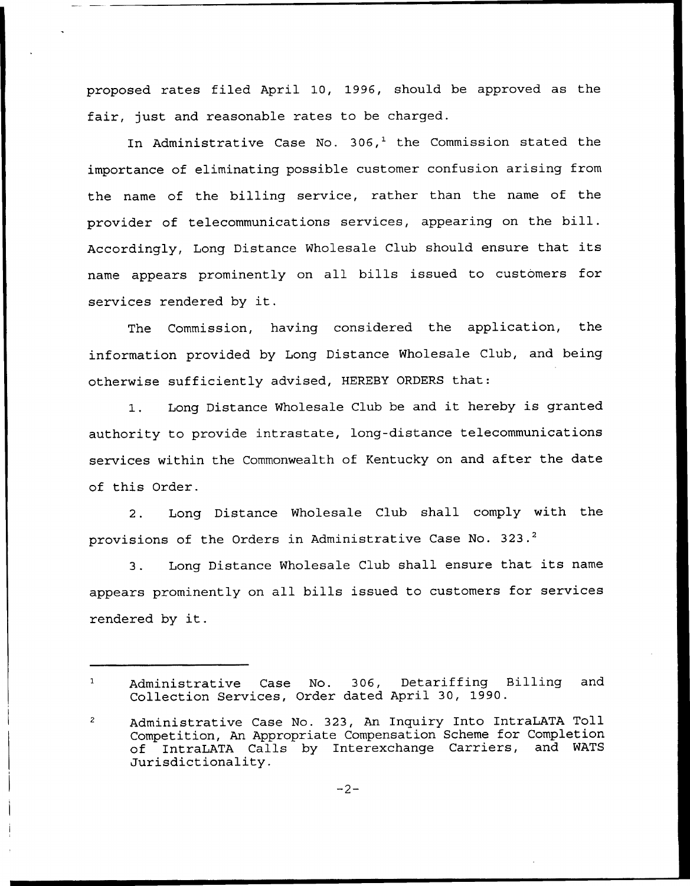proposed rates filed April 10, 1996, should be approved as the fair, just and reasonable rates to be charged.

In Administrative Case No. 306,<sup>1</sup> the Commission stated the importance of eliminating possible customer confusion arising from the name of the billing service, rather than the name of the provider of telecommunications services, appearing on the bill. Accordingly, Long Distance Wholesale Club should ensure that its name appears prominently on all bills issued to customers for services rendered by it.

The Commission, having considered the application, the information provided by Long Distance Wholesale Club, and being otherwise sufficiently advised, HEREBY ORDERS that:

1. Long Distance Wholesale Club be and it hereby is granted authority to provide intrastate, long-distance telecommunications services within the Commonwealth of Kentucky on and after the date of this Order.

2. Long Distance Wholesale Club shall comply with the provisions of the Orders in Administrative Case No. 323.<sup>2</sup>

Long Distance Wholesale Club shall ensure that its name  $3.$ appears prominently on all bills issued to customers for services rendered by it.

 $\mathbf{1}$ Administrative Case No. 306, Detariffing Billing and Collection Services, Order dated April 30, 1990.

Administrative Case No. 323, An Inquiry Into IntraLATA Toll  $\overline{2}$ Competition, An Appropriate Compensation Scheme for Completion of IntraLATA Calls by Interexchange Carriers, and WATS Jurisdictionality.